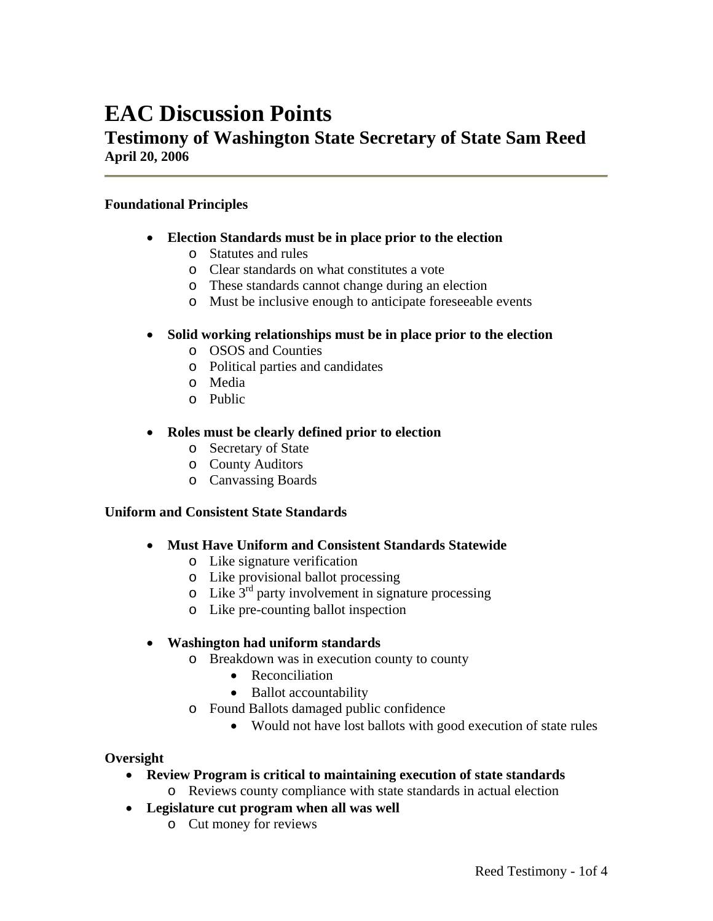# **EAC Discussion Points**

## **Testimony of Washington State Secretary of State Sam Reed April 20, 2006**

#### **Foundational Principles**

- **Election Standards must be in place prior to the election**
	- o Statutes and rules
	- o Clear standards on what constitutes a vote
	- o These standards cannot change during an election
	- o Must be inclusive enough to anticipate foreseeable events

#### • **Solid working relationships must be in place prior to the election**

- o OSOS and Counties
- o Political parties and candidates
- o Media
- o Public

## • **Roles must be clearly defined prior to election**

- o Secretary of State
- o County Auditors
- o Canvassing Boards

#### **Uniform and Consistent State Standards**

- **Must Have Uniform and Consistent Standards Statewide** 
	- o Like signature verification
	- o Like provisional ballot processing
	- $\circ$  Like  $3<sup>rd</sup>$  party involvement in signature processing
	- o Like pre-counting ballot inspection

## • **Washington had uniform standards**

- o Breakdown was in execution county to county
	- Reconciliation
	- Ballot accountability
- o Found Ballots damaged public confidence
	- Would not have lost ballots with good execution of state rules

#### **Oversight**

- **Review Program is critical to maintaining execution of state standards** 
	- o Reviews county compliance with state standards in actual election
- **Legislature cut program when all was well** 
	- o Cut money for reviews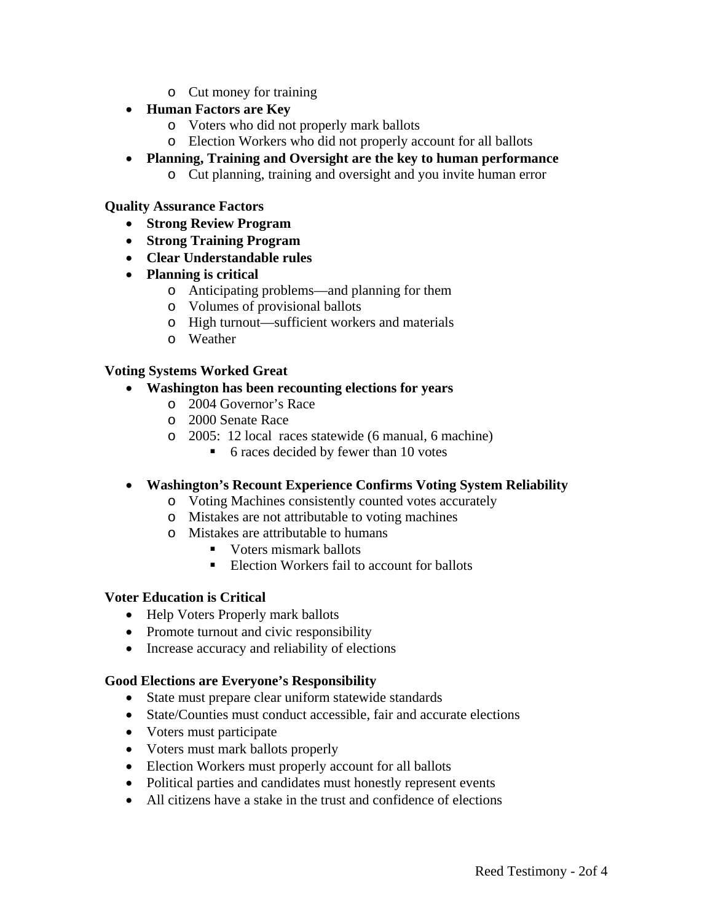o Cut money for training

## • **Human Factors are Key**

- o Voters who did not properly mark ballots
- o Election Workers who did not properly account for all ballots
- **Planning, Training and Oversight are the key to human performance** 
	- o Cut planning, training and oversight and you invite human error

## **Quality Assurance Factors**

- **Strong Review Program**
- **Strong Training Program**
- **Clear Understandable rules**
- **Planning is critical** 
	- o Anticipating problems—and planning for them
	- o Volumes of provisional ballots
	- o High turnout—sufficient workers and materials
	- o Weather

## **Voting Systems Worked Great**

## • **Washington has been recounting elections for years**

- o 2004 Governor's Race
- o 2000 Senate Race
- o 2005: 12 local races statewide (6 manual, 6 machine)
	- 6 races decided by fewer than 10 votes

## • **Washington's Recount Experience Confirms Voting System Reliability**

- o Voting Machines consistently counted votes accurately
- o Mistakes are not attributable to voting machines
- o Mistakes are attributable to humans
	- Voters mismark ballots
	- Election Workers fail to account for ballots

## **Voter Education is Critical**

- Help Voters Properly mark ballots
- Promote turnout and civic responsibility
- Increase accuracy and reliability of elections

## **Good Elections are Everyone's Responsibility**

- State must prepare clear uniform statewide standards
- State/Counties must conduct accessible, fair and accurate elections
- Voters must participate
- Voters must mark ballots properly
- Election Workers must properly account for all ballots
- Political parties and candidates must honestly represent events
- All citizens have a stake in the trust and confidence of elections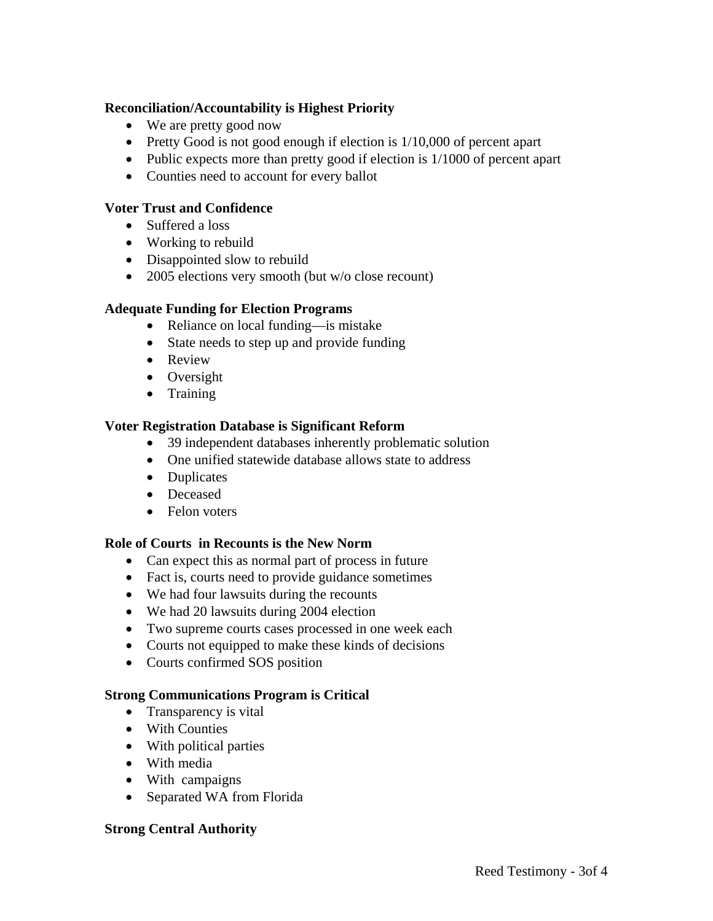## **Reconciliation/Accountability is Highest Priority**

- We are pretty good now
- Pretty Good is not good enough if election is  $1/10,000$  of percent apart
- Public expects more than pretty good if election is 1/1000 of percent apart
- Counties need to account for every ballot

## **Voter Trust and Confidence**

- Suffered a loss
- Working to rebuild
- Disappointed slow to rebuild
- 2005 elections very smooth (but w/o close recount)

#### **Adequate Funding for Election Programs**

- Reliance on local funding—is mistake
- State needs to step up and provide funding
- Review
- Oversight
- Training

#### **Voter Registration Database is Significant Reform**

- 39 independent databases inherently problematic solution
- One unified statewide database allows state to address
- Duplicates
- Deceased
- Felon voters

#### **Role of Courts in Recounts is the New Norm**

- Can expect this as normal part of process in future
- Fact is, courts need to provide guidance sometimes
- We had four lawsuits during the recounts
- We had 20 lawsuits during 2004 election
- Two supreme courts cases processed in one week each
- Courts not equipped to make these kinds of decisions
- Courts confirmed SOS position

#### **Strong Communications Program is Critical**

- Transparency is vital
- With Counties
- With political parties
- With media
- With campaigns
- Separated WA from Florida

#### **Strong Central Authority**